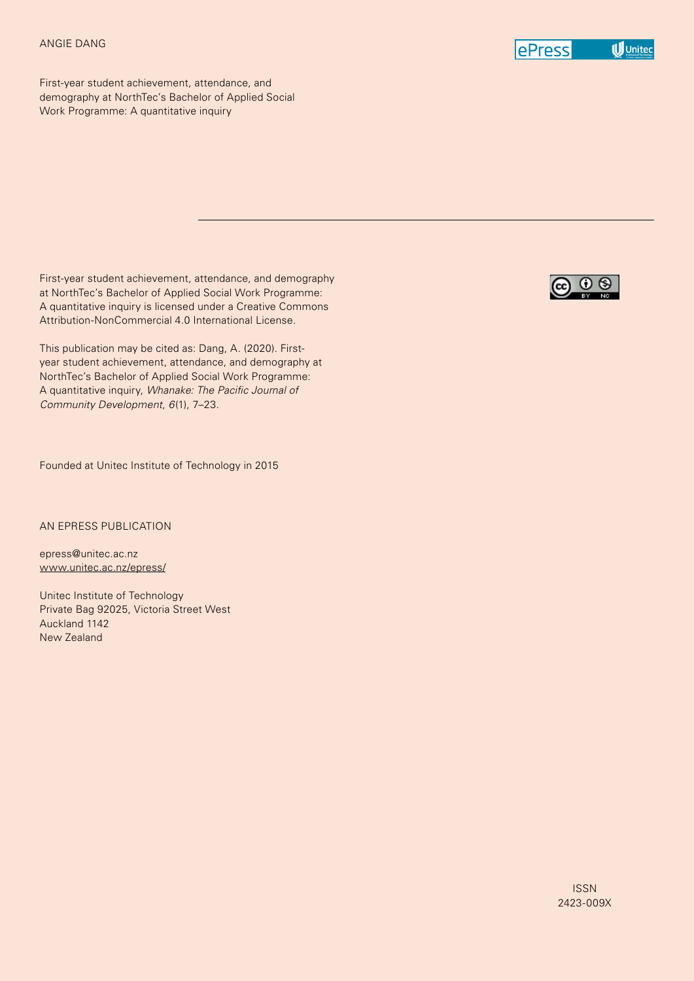#### ANGIE DANG



First-year student achievement, attendance, and demography at NorthTec's Bachelor of Applied Social Work Programme: A quantitative inquiry

First-year student achievement, attendance, and demography at NorthTec's Bachelor of Applied Social Work Programme: A quantitative inquiry is licensed under a Creative Commons Attribution-NonCommercial 4.0 International License.

This publication may be cited as: Dang, A. (2020). Firstyear student achievement, attendance, and demography at NorthTec's Bachelor of Applied Social Work Programme: A quantitative inquiry, *Whanake: The Pacific Journal of Community Development*, *6*(1), 7–23.

Founded at Unitec Institute of Technology in 2015

AN EPRESS PUBLICATION

epress@unitec.ac.nz www.unitec.ac.nz/epress/

Unitec Institute of Technology Private Bag 92025, Victoria Street West Auckland 1142 New Zealand

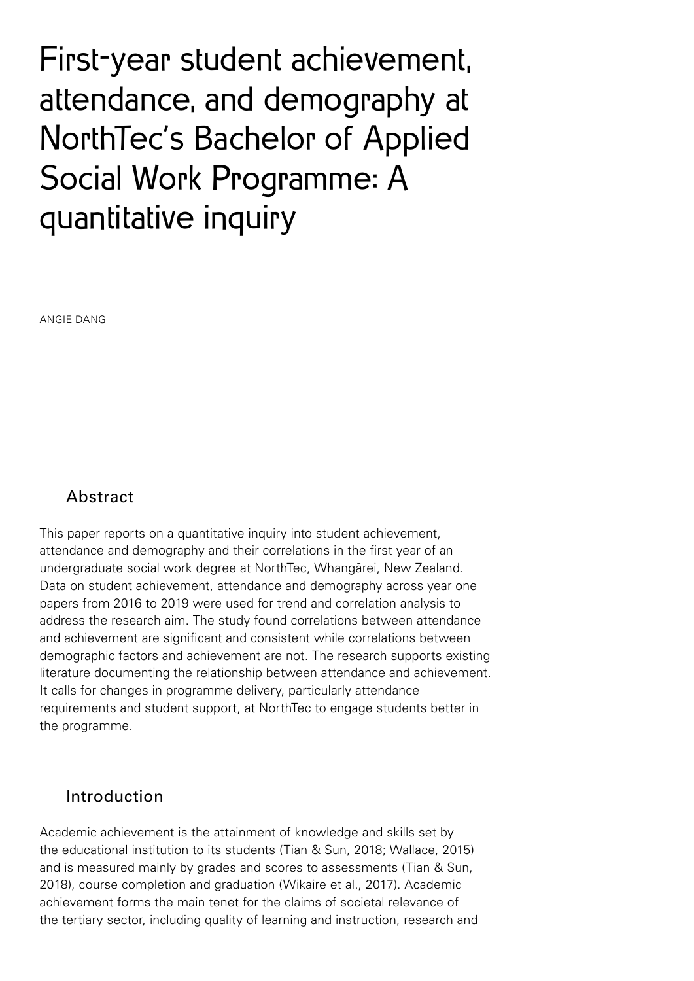First-year student achievement, attendance, and demography at NorthTec's Bachelor of Applied Social Work Programme: A quantitative inquiry

ANGIE DANG

# Abstract

This paper reports on a quantitative inquiry into student achievement, attendance and demography and their correlations in the first year of an undergraduate social work degree at NorthTec, Whangārei, New Zealand. Data on student achievement, attendance and demography across year one papers from 2016 to 2019 were used for trend and correlation analysis to address the research aim. The study found correlations between attendance and achievement are significant and consistent while correlations between demographic factors and achievement are not. The research supports existing literature documenting the relationship between attendance and achievement. It calls for changes in programme delivery, particularly attendance requirements and student support, at NorthTec to engage students better in the programme.

# Introduction

Academic achievement is the attainment of knowledge and skills set by the educational institution to its students (Tian & Sun, 2018; Wallace, 2015) and is measured mainly by grades and scores to assessments (Tian & Sun, 2018), course completion and graduation (Wikaire et al., 2017). Academic achievement forms the main tenet for the claims of societal relevance of the tertiary sector, including quality of learning and instruction, research and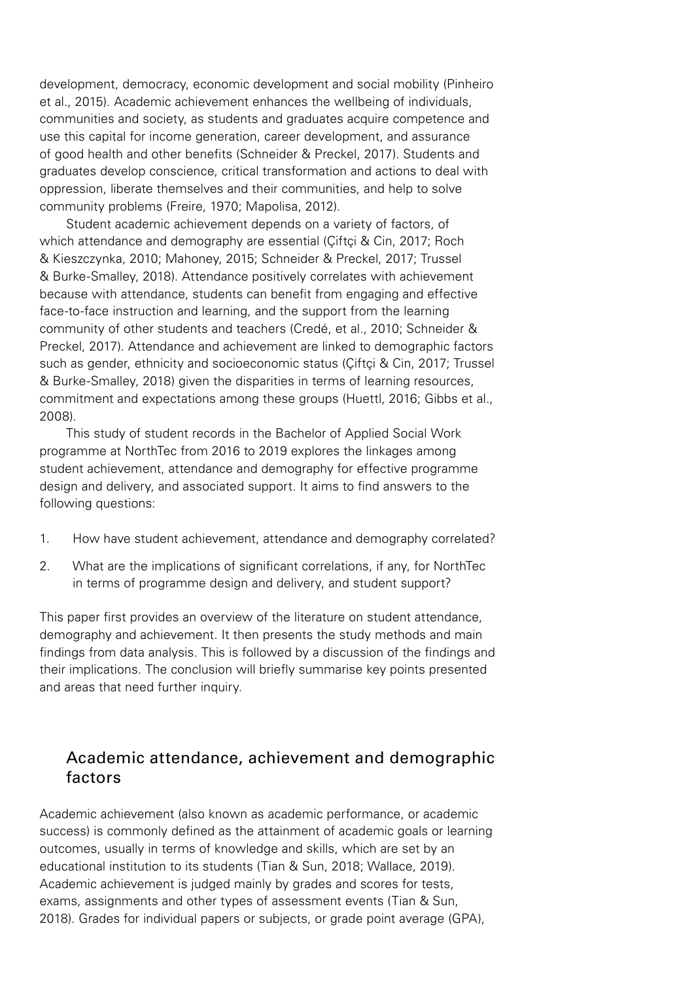development, democracy, economic development and social mobility (Pinheiro et al., 2015). Academic achievement enhances the wellbeing of individuals, communities and society, as students and graduates acquire competence and use this capital for income generation, career development, and assurance of good health and other benefits (Schneider & Preckel, 2017). Students and graduates develop conscience, critical transformation and actions to deal with oppression, liberate themselves and their communities, and help to solve community problems (Freire, 1970; Mapolisa, 2012).

Student academic achievement depends on a variety of factors, of which attendance and demography are essential (Ciftci & Cin, 2017; Roch & Kieszczynka, 2010; Mahoney, 2015; Schneider & Preckel, 2017; Trussel & Burke-Smalley, 2018). Attendance positively correlates with achievement because with attendance, students can benefit from engaging and effective face-to-face instruction and learning, and the support from the learning community of other students and teachers (Credé, et al., 2010; Schneider & Preckel, 2017). Attendance and achievement are linked to demographic factors such as gender, ethnicity and socioeconomic status (Ciftci & Cin, 2017; Trussel & Burke-Smalley, 2018) given the disparities in terms of learning resources, commitment and expectations among these groups (Huettl, 2016; Gibbs et al., 2008).

This study of student records in the Bachelor of Applied Social Work programme at NorthTec from 2016 to 2019 explores the linkages among student achievement, attendance and demography for effective programme design and delivery, and associated support. It aims to find answers to the following questions:

- 1. How have student achievement, attendance and demography correlated?
- 2. What are the implications of significant correlations, if any, for NorthTec in terms of programme design and delivery, and student support?

This paper first provides an overview of the literature on student attendance, demography and achievement. It then presents the study methods and main findings from data analysis. This is followed by a discussion of the findings and their implications. The conclusion will briefly summarise key points presented and areas that need further inquiry.

# Academic attendance, achievement and demographic factors

Academic achievement (also known as academic performance, or academic success) is commonly defined as the attainment of academic goals or learning outcomes, usually in terms of knowledge and skills, which are set by an educational institution to its students (Tian & Sun, 2018; Wallace, 2019). Academic achievement is judged mainly by grades and scores for tests, exams, assignments and other types of assessment events (Tian & Sun, 2018). Grades for individual papers or subjects, or grade point average (GPA),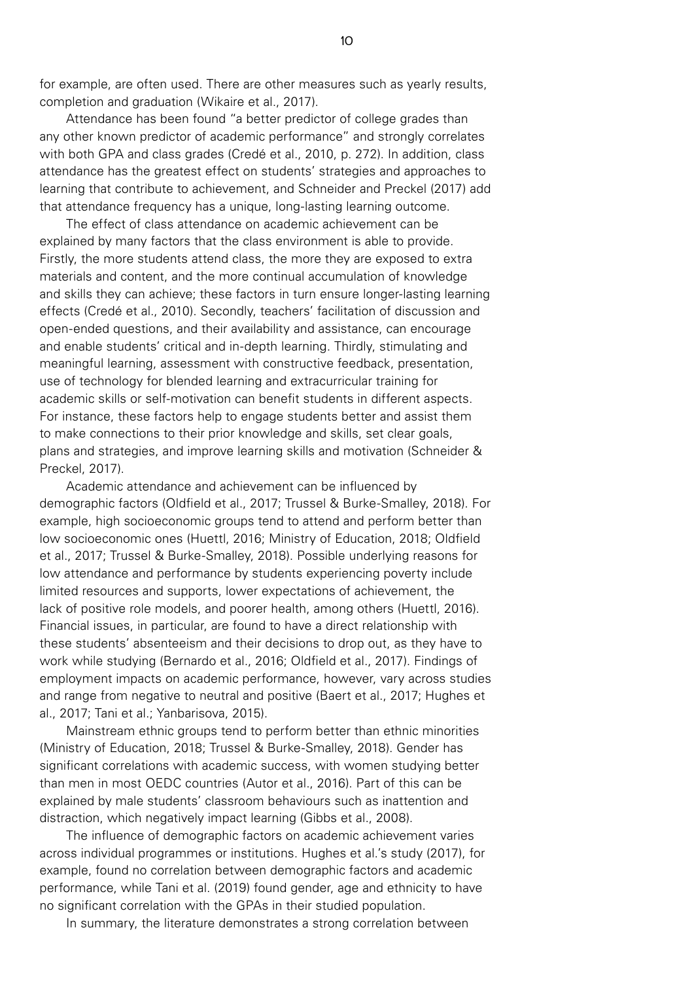for example, are often used. There are other measures such as yearly results, completion and graduation (Wikaire et al., 2017).

Attendance has been found "a better predictor of college grades than any other known predictor of academic performance" and strongly correlates with both GPA and class grades (Credé et al., 2010, p. 272). In addition, class attendance has the greatest effect on students' strategies and approaches to learning that contribute to achievement, and Schneider and Preckel (2017) add that attendance frequency has a unique, long-lasting learning outcome.

The effect of class attendance on academic achievement can be explained by many factors that the class environment is able to provide. Firstly, the more students attend class, the more they are exposed to extra materials and content, and the more continual accumulation of knowledge and skills they can achieve; these factors in turn ensure longer-lasting learning effects (Credé et al., 2010). Secondly, teachers' facilitation of discussion and open-ended questions, and their availability and assistance, can encourage and enable students' critical and in-depth learning. Thirdly, stimulating and meaningful learning, assessment with constructive feedback, presentation, use of technology for blended learning and extracurricular training for academic skills or self-motivation can benefit students in different aspects. For instance, these factors help to engage students better and assist them to make connections to their prior knowledge and skills, set clear goals, plans and strategies, and improve learning skills and motivation (Schneider & Preckel, 2017).

Academic attendance and achievement can be influenced by demographic factors (Oldfield et al., 2017; Trussel & Burke-Smalley, 2018). For example, high socioeconomic groups tend to attend and perform better than low socioeconomic ones (Huettl, 2016; Ministry of Education, 2018; Oldfield et al., 2017; Trussel & Burke-Smalley, 2018). Possible underlying reasons for low attendance and performance by students experiencing poverty include limited resources and supports, lower expectations of achievement, the lack of positive role models, and poorer health, among others (Huettl, 2016). Financial issues, in particular, are found to have a direct relationship with these students' absenteeism and their decisions to drop out, as they have to work while studying (Bernardo et al., 2016; Oldfield et al., 2017). Findings of employment impacts on academic performance, however, vary across studies and range from negative to neutral and positive (Baert et al., 2017; Hughes et al., 2017; Tani et al.; Yanbarisova, 2015).

Mainstream ethnic groups tend to perform better than ethnic minorities (Ministry of Education, 2018; Trussel & Burke-Smalley, 2018). Gender has significant correlations with academic success, with women studying better than men in most OEDC countries (Autor et al., 2016). Part of this can be explained by male students' classroom behaviours such as inattention and distraction, which negatively impact learning (Gibbs et al., 2008).

The influence of demographic factors on academic achievement varies across individual programmes or institutions. Hughes et al.'s study (2017), for example, found no correlation between demographic factors and academic performance, while Tani et al. (2019) found gender, age and ethnicity to have no significant correlation with the GPAs in their studied population.

In summary, the literature demonstrates a strong correlation between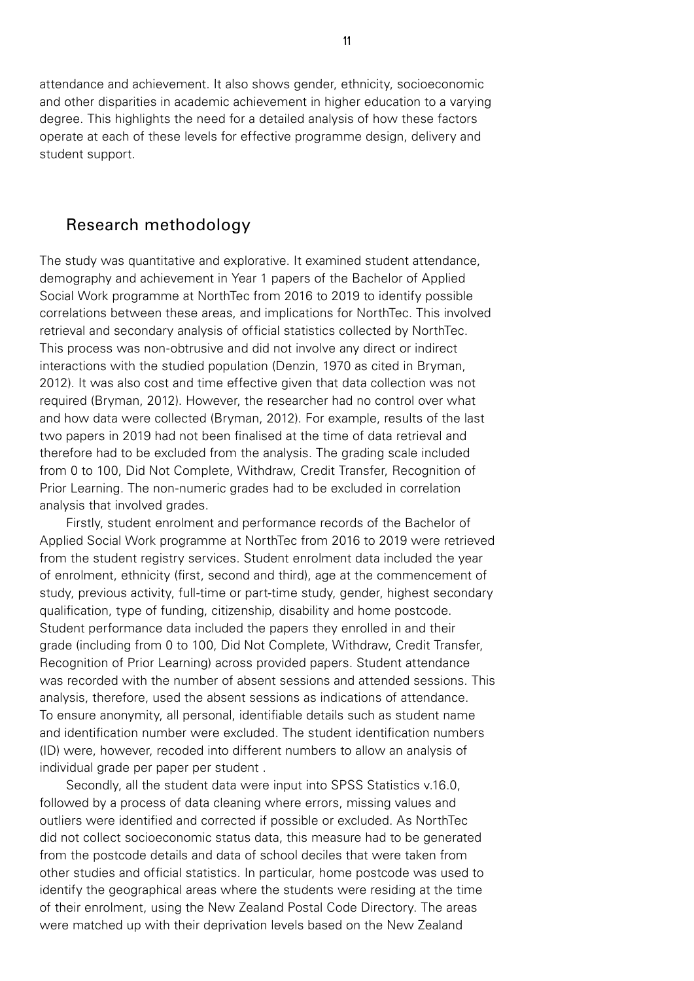attendance and achievement. It also shows gender, ethnicity, socioeconomic and other disparities in academic achievement in higher education to a varying degree. This highlights the need for a detailed analysis of how these factors operate at each of these levels for effective programme design, delivery and student support.

## Research methodology

The study was quantitative and explorative. It examined student attendance, demography and achievement in Year 1 papers of the Bachelor of Applied Social Work programme at NorthTec from 2016 to 2019 to identify possible correlations between these areas, and implications for NorthTec. This involved retrieval and secondary analysis of official statistics collected by NorthTec. This process was non-obtrusive and did not involve any direct or indirect interactions with the studied population (Denzin, 1970 as cited in Bryman, 2012). It was also cost and time effective given that data collection was not required (Bryman, 2012). However, the researcher had no control over what and how data were collected (Bryman, 2012). For example, results of the last two papers in 2019 had not been finalised at the time of data retrieval and therefore had to be excluded from the analysis. The grading scale included from 0 to 100, Did Not Complete, Withdraw, Credit Transfer, Recognition of Prior Learning. The non-numeric grades had to be excluded in correlation analysis that involved grades.

Firstly, student enrolment and performance records of the Bachelor of Applied Social Work programme at NorthTec from 2016 to 2019 were retrieved from the student registry services. Student enrolment data included the year of enrolment, ethnicity (first, second and third), age at the commencement of study, previous activity, full-time or part-time study, gender, highest secondary qualification, type of funding, citizenship, disability and home postcode. Student performance data included the papers they enrolled in and their grade (including from 0 to 100, Did Not Complete, Withdraw, Credit Transfer, Recognition of Prior Learning) across provided papers. Student attendance was recorded with the number of absent sessions and attended sessions. This analysis, therefore, used the absent sessions as indications of attendance. To ensure anonymity, all personal, identifiable details such as student name and identification number were excluded. The student identification numbers (ID) were, however, recoded into different numbers to allow an analysis of individual grade per paper per student .

Secondly, all the student data were input into SPSS Statistics v.16.0, followed by a process of data cleaning where errors, missing values and outliers were identified and corrected if possible or excluded. As NorthTec did not collect socioeconomic status data, this measure had to be generated from the postcode details and data of school deciles that were taken from other studies and official statistics. In particular, home postcode was used to identify the geographical areas where the students were residing at the time of their enrolment, using the New Zealand Postal Code Directory. The areas were matched up with their deprivation levels based on the New Zealand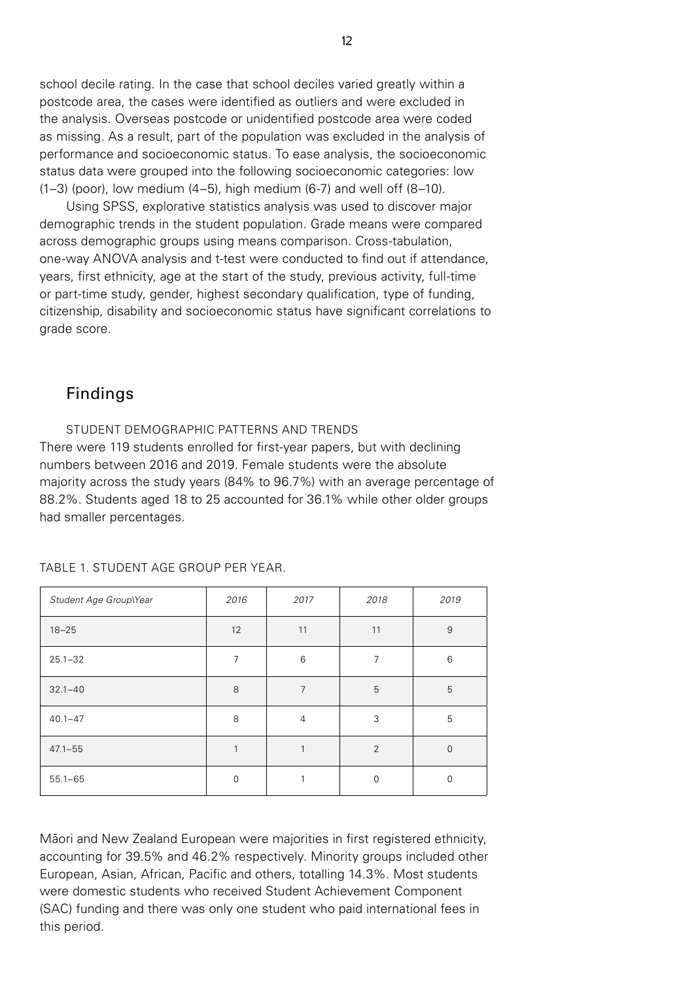school decile rating. In the case that school deciles varied greatly within a postcode area, the cases were identified as outliers and were excluded in the analysis. Overseas postcode or unidentified postcode area were coded as missing. As a result, part of the population was excluded in the analysis of performance and socioeconomic status. To ease analysis, the socioeconomic status data were grouped into the following socioeconomic categories: low (1–3) (poor), low medium (4–5), high medium (6-7) and well off (8–10).

Using SPSS, explorative statistics analysis was used to discover major demographic trends in the student population. Grade means were compared across demographic groups using means comparison. Cross-tabulation, one-way ANOVA analysis and t-test were conducted to find out if attendance, years, first ethnicity, age at the start of the study, previous activity, full-time or part-time study, gender, highest secondary qualification, type of funding, citizenship, disability and socioeconomic status have significant correlations to grade score.

## Findings

STUDENT DEMOGRAPHIC PATTERNS AND TRENDS There were 119 students enrolled for first-year papers, but with declining numbers between 2016 and 2019. Female students were the absolute majority across the study years (84% to 96.7%) with an average percentage of 88.2%. Students aged 18 to 25 accounted for 36.1% while other older groups had smaller percentages.

| Student Age Group\Year | 2016           | 2017           | 2018           | 2019           |
|------------------------|----------------|----------------|----------------|----------------|
| $18 - 25$              | 12             | 11             | 11             | 9              |
| $25.1 - 32$            | $\overline{7}$ | 6              | 7              | 6              |
| $32.1 - 40$            | 8              | $\overline{7}$ | 5              | 5              |
| $40.1 - 47$            | 8              | $\overline{4}$ | 3              | 5              |
| $47.1 - 55$            | 1              | 1              | $\overline{2}$ | $\overline{0}$ |
| $55.1 - 65$            | $\mathbf 0$    | 1              | $\overline{0}$ | $\mathbf 0$    |

TABLE 1. STUDENT AGE GROUP PER YEAR.

Māori and New Zealand European were majorities in first registered ethnicity, accounting for 39.5% and 46.2% respectively. Minority groups included other European, Asian, African, Pacific and others, totalling 14.3%. Most students were domestic students who received Student Achievement Component (SAC) funding and there was only one student who paid international fees in this period.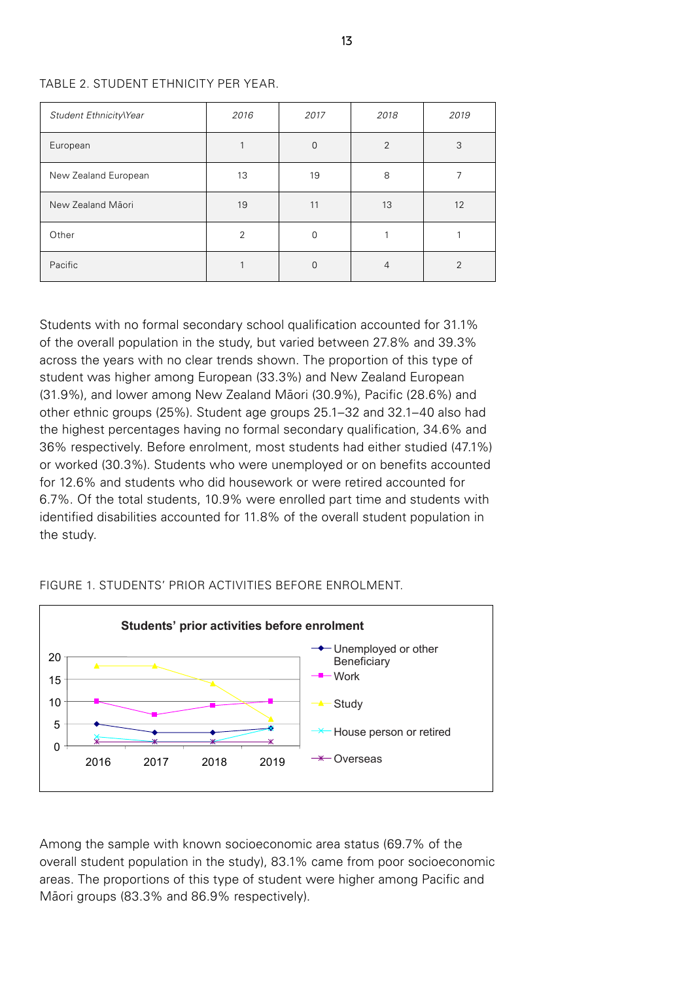#### TABLE 2. STUDENT ETHNICITY PER YEAR.

| Student Ethnicity\Year | 2016           | 2017     | 2018           | 2019          |
|------------------------|----------------|----------|----------------|---------------|
| European               |                | $\Omega$ | $\overline{2}$ | 3             |
| New Zealand European   | 13             | 19       | 8              |               |
| New Zealand Māori      | 19             | 11       | 13             | 12            |
| Other                  | $\mathfrak{D}$ | 0        |                |               |
| Pacific                |                | 0        | 4              | $\mathcal{P}$ |

Students with no formal secondary school qualification accounted for 31.1% of the overall population in the study, but varied between 27.8% and 39.3% across the years with no clear trends shown. The proportion of this type of student was higher among European (33.3%) and New Zealand European (31.9%), and lower among New Zealand Māori (30.9%), Pacific (28.6%) and other ethnic groups (25%). Student age groups 25.1–32 and 32.1–40 also had the highest percentages having no formal secondary qualification, 34.6% and 36% respectively. Before enrolment, most students had either studied (47.1%) or worked (30.3%). Students who were unemployed or on benefits accounted for 12.6% and students who did housework or were retired accounted for 6.7%. Of the total students, 10.9% were enrolled part time and students with identified disabilities accounted for 11.8% of the overall student population in the study.

### FIGURE 1. STUDENTS' PRIOR ACTIVITIES BEFORE ENROLMENT.



Among the sample with known socioeconomic area status (69.7% of the overall student population in the study), 83.1% came from poor socioeconomic areas. The proportions of this type of student were higher among Pacific and Māori groups (83.3% and 86.9% respectively).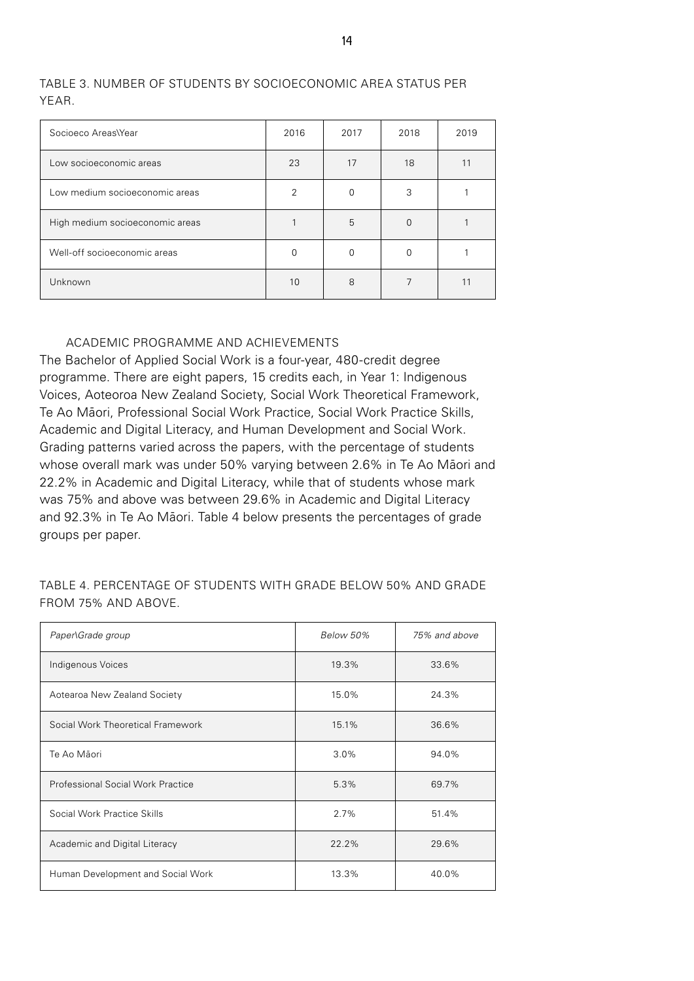| Socioeco Areas\Year             | 2016 | 2017 | 2018     | 2019 |
|---------------------------------|------|------|----------|------|
| Low socioeconomic areas         | 23   | 17   | 18       | 11   |
| Low medium socioeconomic areas  | 2    |      | 3        |      |
| High medium socioeconomic areas |      | 5    | $\Omega$ |      |
| Well-off socioeconomic areas    |      |      | O        |      |
| Unknown                         | 10   | 8    |          |      |

## TABLE 3. NUMBER OF STUDENTS BY SOCIOECONOMIC AREA STATUS PER YEAR.

### ACADEMIC PROGRAMME AND ACHIEVEMENTS

The Bachelor of Applied Social Work is a four-year, 480-credit degree programme. There are eight papers, 15 credits each, in Year 1: Indigenous Voices, Aoteoroa New Zealand Society, Social Work Theoretical Framework, Te Ao Māori, Professional Social Work Practice, Social Work Practice Skills, Academic and Digital Literacy, and Human Development and Social Work. Grading patterns varied across the papers, with the percentage of students whose overall mark was under 50% varying between 2.6% in Te Ao Māori and 22.2% in Academic and Digital Literacy, while that of students whose mark was 75% and above was between 29.6% in Academic and Digital Literacy and 92.3% in Te Ao Māori. Table 4 below presents the percentages of grade groups per paper.

| TABLE 4. PERCENTAGE OF STUDENTS WITH GRADE BELOW 50% AND GRADE |  |  |
|----------------------------------------------------------------|--|--|
| FROM 75% AND ABOVE.                                            |  |  |

| Paper\Grade group                        | Below 50% | 75% and above |
|------------------------------------------|-----------|---------------|
| Indigenous Voices                        | 19.3%     | 33.6%         |
| Aotearoa New Zealand Society             | 15.0%     | 24.3%         |
| Social Work Theoretical Framework        | 15.1%     | 36.6%         |
| Te Ao Māori                              | 3.0%      | 94.0%         |
| <b>Professional Social Work Practice</b> | 5.3%      | 69.7%         |
| Social Work Practice Skills              | 2.7%      | 51.4%         |
| Academic and Digital Literacy            | 22.2%     | 29.6%         |
| Human Development and Social Work        | 13.3%     | 40.0%         |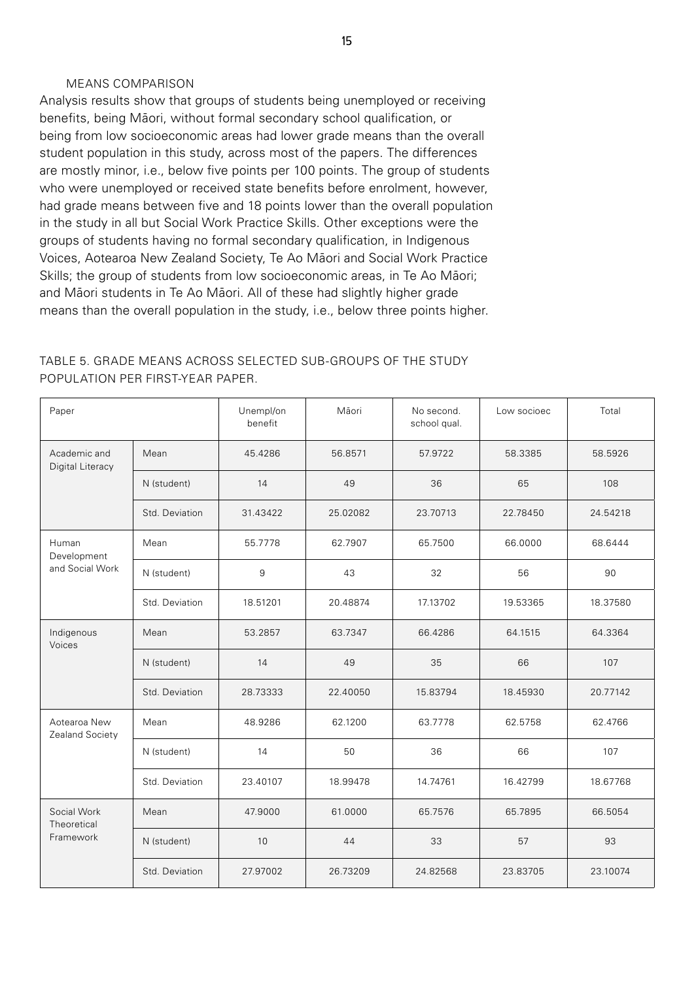#### MEANS COMPARISON

Analysis results show that groups of students being unemployed or receiving benefits, being Māori, without formal secondary school qualification, or being from low socioeconomic areas had lower grade means than the overall student population in this study, across most of the papers. The differences are mostly minor, i.e., below five points per 100 points. The group of students who were unemployed or received state benefits before enrolment, however, had grade means between five and 18 points lower than the overall population in the study in all but Social Work Practice Skills. Other exceptions were the groups of students having no formal secondary qualification, in Indigenous Voices, Aotearoa New Zealand Society, Te Ao Māori and Social Work Practice Skills; the group of students from low socioeconomic areas, in Te Ao Māori; and Māori students in Te Ao Māori. All of these had slightly higher grade means than the overall population in the study, i.e., below three points higher.

| Paper                            |                | Unempl/on<br>benefit | Māori    | No second.<br>school qual. | Low socioec | Total    |
|----------------------------------|----------------|----------------------|----------|----------------------------|-------------|----------|
| Academic and<br>Digital Literacy | Mean           | 45.4286              | 56.8571  | 57.9722                    | 58.3385     | 58.5926  |
|                                  | N (student)    | 14                   | 49       | 36                         | 65          | 108      |
|                                  | Std. Deviation | 31.43422             | 25.02082 | 23.70713                   | 22.78450    | 24.54218 |
| Human<br>Development             | Mean           | 55.7778              | 62.7907  | 65.7500                    | 66.0000     | 68.6444  |
| and Social Work                  | N (student)    | 9                    | 43       | 32                         | 56          | 90       |
|                                  | Std. Deviation | 18.51201             | 20.48874 | 17.13702                   | 19.53365    | 18.37580 |
| Indigenous<br>Voices             | Mean           | 53.2857              | 63.7347  | 66.4286                    | 64.1515     | 64.3364  |
|                                  | N (student)    | 14                   | 49       | 35                         | 66          | 107      |
|                                  | Std. Deviation | 28.73333             | 22.40050 | 15.83794                   | 18.45930    | 20.77142 |
| Aotearoa New<br>Zealand Society  | Mean           | 48.9286              | 62.1200  | 63.7778                    | 62.5758     | 62.4766  |
|                                  | N (student)    | 14                   | 50       | 36                         | 66          | 107      |
|                                  | Std. Deviation | 23.40107             | 18.99478 | 14.74761                   | 16.42799    | 18.67768 |
| Social Work<br>Theoretical       | Mean           | 47.9000              | 61.0000  | 65.7576                    | 65.7895     | 66.5054  |
| Framework                        | N (student)    | 10                   | 44       | 33                         | 57          | 93       |
|                                  | Std. Deviation | 27.97002             | 26.73209 | 24.82568                   | 23.83705    | 23.10074 |

## TABLE 5. GRADE MEANS ACROSS SELECTED SUB-GROUPS OF THE STUDY POPULATION PER FIRST-YEAR PAPER.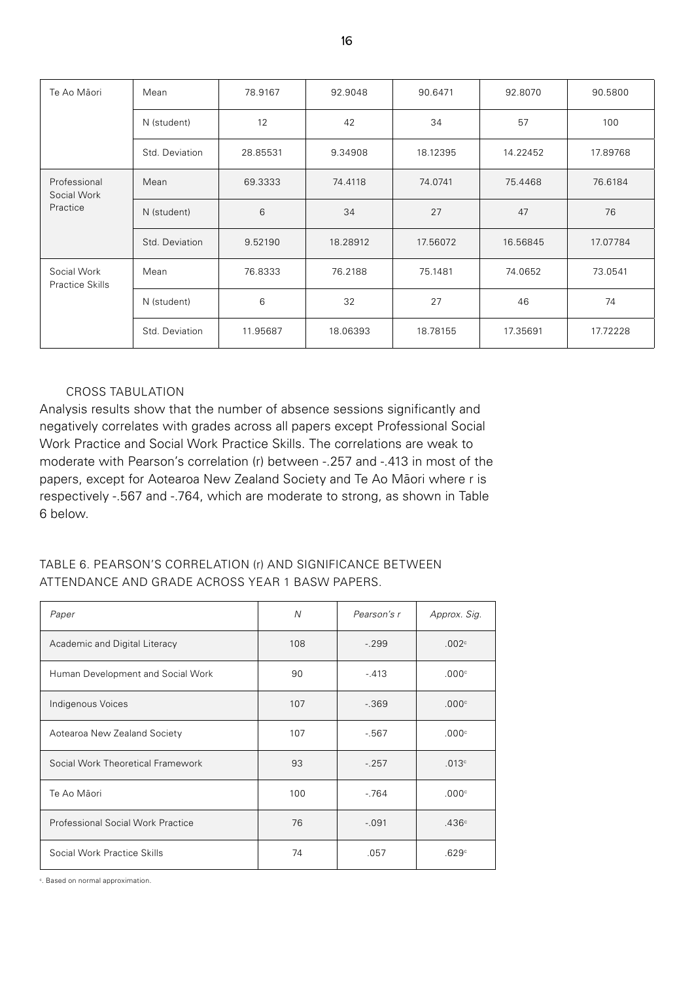| Te Ao Māori                    | Mean           | 78.9167  | 92.9048  | 90.6471  | 92.8070  | 90.5800  |
|--------------------------------|----------------|----------|----------|----------|----------|----------|
|                                | N (student)    | 12       | 42       | 34       | 57       | 100      |
|                                | Std. Deviation | 28.85531 | 9.34908  | 18.12395 | 14.22452 | 17.89768 |
| Professional<br>Social Work    | Mean           | 69.3333  | 74.4118  | 74.0741  | 75.4468  | 76.6184  |
| Practice                       | N (student)    | 6        | 34       | 27       | 47       | 76       |
|                                | Std. Deviation | 9.52190  | 18.28912 | 17.56072 | 16.56845 | 17.07784 |
| Social Work<br>Practice Skills | Mean           | 76.8333  | 76.2188  | 75.1481  | 74.0652  | 73.0541  |
|                                | N (student)    | 6        | 32       | 27       | 46       | 74       |
|                                | Std. Deviation | 11.95687 | 18.06393 | 18.78155 | 17.35691 | 17.72228 |

### CROSS TABULATION

Analysis results show that the number of absence sessions significantly and negatively correlates with grades across all papers except Professional Social Work Practice and Social Work Practice Skills. The correlations are weak to moderate with Pearson's correlation (r) between -.257 and -.413 in most of the papers, except for Aotearoa New Zealand Society and Te Ao Māori where r is respectively -.567 and -.764, which are moderate to strong, as shown in Table 6 below.

## TABLE 6. PEARSON'S CORRELATION (r) AND SIGNIFICANCE BETWEEN ATTENDANCE AND GRADE ACROSS YEAR 1 BASW PAPERS.

| Paper                                    | N   | Pearson's r | Approx. Sig.      |
|------------------------------------------|-----|-------------|-------------------|
| Academic and Digital Literacy            | 108 | $-299$      | .002 <sup>c</sup> |
| Human Development and Social Work        | 90  | $-.413$     | .000c             |
| Indigenous Voices                        | 107 | $-0.369$    | .000c             |
| Aotearoa New Zealand Society             | 107 | $-567$      | .000c             |
| Social Work Theoretical Framework        | 93  | $-.257$     | .013c             |
| Te Ao Māori                              | 100 | $-764$      | .000c             |
| <b>Professional Social Work Practice</b> | 76  | $-.091$     | .436c             |
| Social Work Practice Skills              | 74  | .057        | .629 $^{\circ}$   |

c . Based on normal approximation.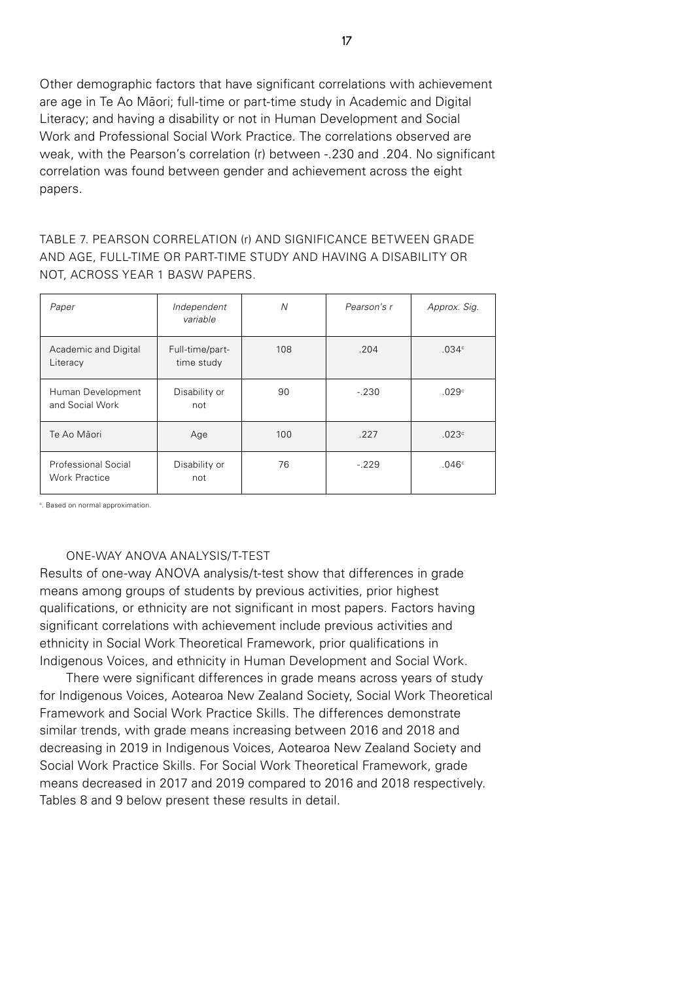Other demographic factors that have significant correlations with achievement are age in Te Ao Māori; full-time or part-time study in Academic and Digital Literacy; and having a disability or not in Human Development and Social Work and Professional Social Work Practice. The correlations observed are weak, with the Pearson's correlation (r) between -.230 and .204. No significant correlation was found between gender and achievement across the eight papers.

TABLE 7. PEARSON CORRELATION (r) AND SIGNIFICANCE BETWEEN GRADE AND AGE, FULL-TIME OR PART-TIME STUDY AND HAVING A DISABILITY OR NOT, ACROSS YEAR 1 BASW PAPERS.

| Paper                                       | Independent<br>variable       | N   | Pearson's r | Approx. Sig.      |
|---------------------------------------------|-------------------------------|-----|-------------|-------------------|
| Academic and Digital<br>Literacy            | Full-time/part-<br>time study | 108 | .204        | .034 <sup>c</sup> |
| Human Development<br>and Social Work        | Disability or<br>not          | 90  | $-.230$     | .029 <sup>c</sup> |
| Te Ao Māori                                 | Age                           | 100 | .227        | .023c             |
| Professional Social<br><b>Work Practice</b> | Disability or<br>not          | 76  | $-229$      | .046 <sup>c</sup> |

<sup>c</sup>. Based on normal approximation.

#### ONE-WAY ANOVA ANALYSIS/T-TEST

Results of one-way ANOVA analysis/t-test show that differences in grade means among groups of students by previous activities, prior highest qualifications, or ethnicity are not significant in most papers. Factors having significant correlations with achievement include previous activities and ethnicity in Social Work Theoretical Framework, prior qualifications in Indigenous Voices, and ethnicity in Human Development and Social Work.

There were significant differences in grade means across years of study for Indigenous Voices, Aotearoa New Zealand Society, Social Work Theoretical Framework and Social Work Practice Skills. The differences demonstrate similar trends, with grade means increasing between 2016 and 2018 and decreasing in 2019 in Indigenous Voices, Aotearoa New Zealand Society and Social Work Practice Skills. For Social Work Theoretical Framework, grade means decreased in 2017 and 2019 compared to 2016 and 2018 respectively. Tables 8 and 9 below present these results in detail.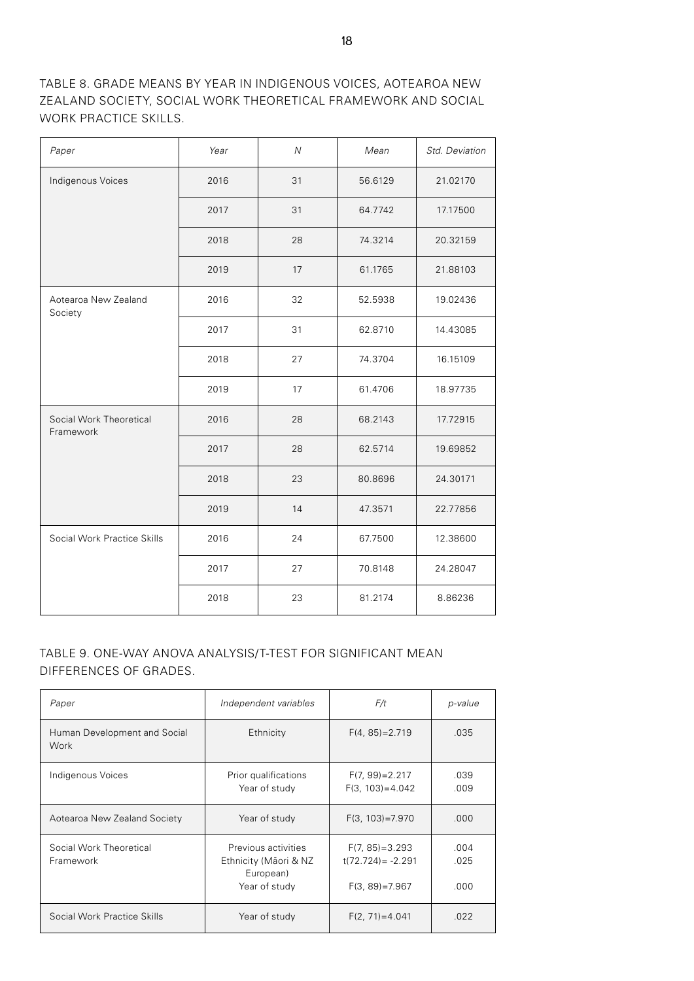TABLE 8. GRADE MEANS BY YEAR IN INDIGENOUS VOICES, AOTEAROA NEW ZEALAND SOCIETY, SOCIAL WORK THEORETICAL FRAMEWORK AND SOCIAL WORK PRACTICE SKILLS.

| Paper                                | Year | $\overline{N}$ | Mean    | Std. Deviation |
|--------------------------------------|------|----------------|---------|----------------|
| Indigenous Voices                    | 2016 | 31             | 56.6129 | 21.02170       |
|                                      | 2017 | 31             | 64.7742 | 17.17500       |
|                                      | 2018 | 28             | 74.3214 | 20.32159       |
|                                      | 2019 | 17             | 61.1765 | 21.88103       |
| Aotearoa New Zealand<br>Society      | 2016 | 32             | 52.5938 | 19.02436       |
|                                      | 2017 | 31             | 62.8710 | 14.43085       |
|                                      | 2018 | 27             | 74.3704 | 16.15109       |
|                                      | 2019 | 17             | 61.4706 | 18.97735       |
| Social Work Theoretical<br>Framework | 2016 | 28             | 68.2143 | 17.72915       |
|                                      | 2017 | 28             | 62.5714 | 19.69852       |
|                                      | 2018 | 23             | 80.8696 | 24.30171       |
|                                      | 2019 | 14             | 47.3571 | 22.77856       |
| Social Work Practice Skills          | 2016 | 24             | 67.7500 | 12.38600       |
|                                      | 2017 | 27             | 70.8148 | 24.28047       |
|                                      | 2018 | 23             | 81.2174 | 8.86236        |

## TABLE 9. ONE-WAY ANOVA ANALYSIS/T-TEST FOR SIGNIFICANT MEAN DIFFERENCES OF GRADES.

| Paper                                | Independent variables                                                      | F/t                                                              | p-value              |
|--------------------------------------|----------------------------------------------------------------------------|------------------------------------------------------------------|----------------------|
| Human Development and Social<br>Work | Ethnicity                                                                  | $F(4, 85) = 2.719$                                               | .035                 |
| Indigenous Voices                    | Prior qualifications<br>Year of study                                      | $F(7, 99) = 2.217$<br>$F(3, 103) = 4.042$                        | .039<br>.009         |
| Aotearoa New Zealand Society         | Year of study                                                              | $F(3, 103) = 7.970$                                              | .000                 |
| Social Work Theoretical<br>Framework | Previous activities<br>Ethnicity (Māori & NZ<br>European)<br>Year of study | $F(7, 85) = 3.293$<br>$t(72.724) = -2.291$<br>$F(3, 89) = 7.967$ | .004<br>.025<br>.000 |
| Social Work Practice Skills          | Year of study                                                              | $F(2, 71) = 4.041$                                               | .022                 |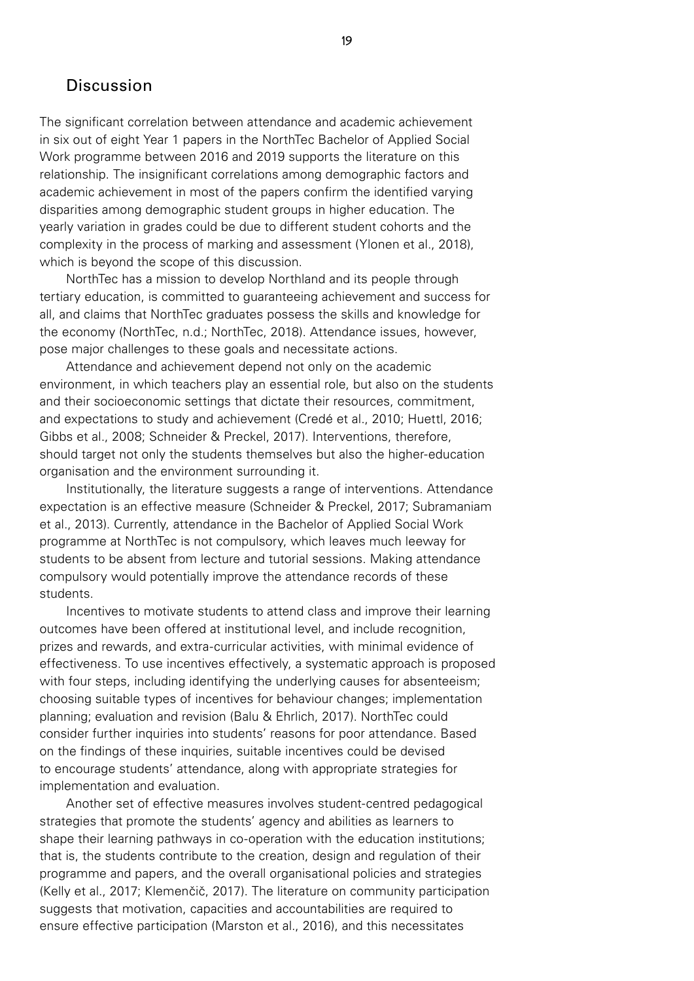## **Discussion**

The significant correlation between attendance and academic achievement in six out of eight Year 1 papers in the NorthTec Bachelor of Applied Social Work programme between 2016 and 2019 supports the literature on this relationship. The insignificant correlations among demographic factors and academic achievement in most of the papers confirm the identified varying disparities among demographic student groups in higher education. The yearly variation in grades could be due to different student cohorts and the complexity in the process of marking and assessment (Ylonen et al., 2018), which is beyond the scope of this discussion.

NorthTec has a mission to develop Northland and its people through tertiary education, is committed to guaranteeing achievement and success for all, and claims that NorthTec graduates possess the skills and knowledge for the economy (NorthTec, n.d.; NorthTec, 2018). Attendance issues, however, pose major challenges to these goals and necessitate actions.

Attendance and achievement depend not only on the academic environment, in which teachers play an essential role, but also on the students and their socioeconomic settings that dictate their resources, commitment, and expectations to study and achievement (Credé et al., 2010; Huettl, 2016; Gibbs et al., 2008; Schneider & Preckel, 2017). Interventions, therefore, should target not only the students themselves but also the higher-education organisation and the environment surrounding it.

Institutionally, the literature suggests a range of interventions. Attendance expectation is an effective measure (Schneider & Preckel, 2017; Subramaniam et al., 2013). Currently, attendance in the Bachelor of Applied Social Work programme at NorthTec is not compulsory, which leaves much leeway for students to be absent from lecture and tutorial sessions. Making attendance compulsory would potentially improve the attendance records of these students.

Incentives to motivate students to attend class and improve their learning outcomes have been offered at institutional level, and include recognition, prizes and rewards, and extra-curricular activities, with minimal evidence of effectiveness. To use incentives effectively, a systematic approach is proposed with four steps, including identifying the underlying causes for absenteeism; choosing suitable types of incentives for behaviour changes; implementation planning; evaluation and revision (Balu & Ehrlich, 2017). NorthTec could consider further inquiries into students' reasons for poor attendance. Based on the findings of these inquiries, suitable incentives could be devised to encourage students' attendance, along with appropriate strategies for implementation and evaluation.

Another set of effective measures involves student-centred pedagogical strategies that promote the students' agency and abilities as learners to shape their learning pathways in co-operation with the education institutions; that is, the students contribute to the creation, design and regulation of their programme and papers, and the overall organisational policies and strategies (Kelly et al., 2017; Klemenčič, 2017). The literature on community participation suggests that motivation, capacities and accountabilities are required to ensure effective participation (Marston et al., 2016), and this necessitates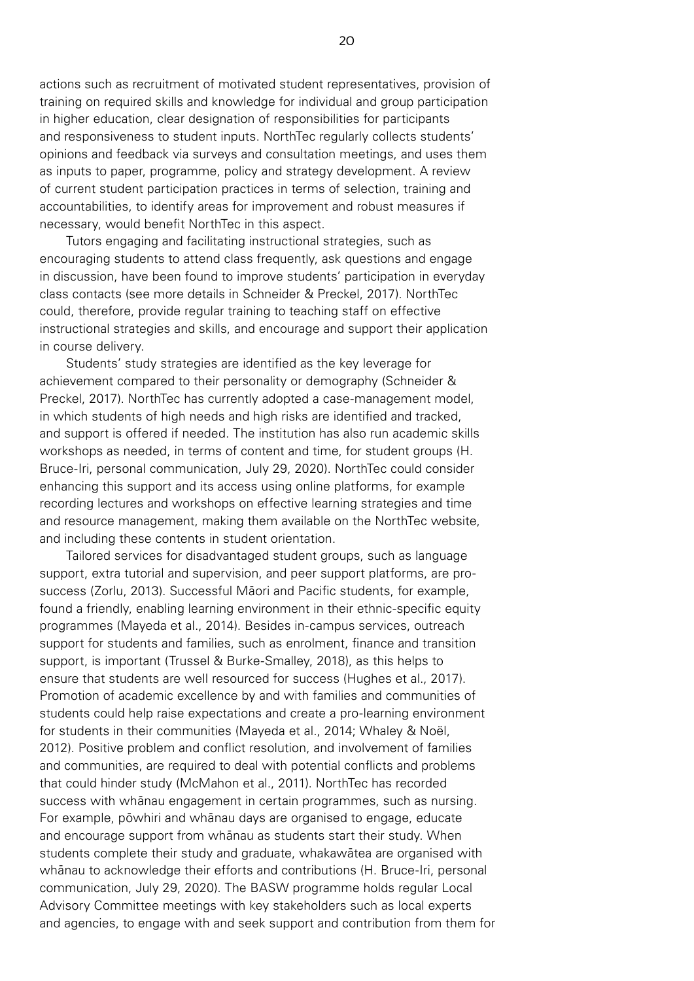actions such as recruitment of motivated student representatives, provision of training on required skills and knowledge for individual and group participation in higher education, clear designation of responsibilities for participants and responsiveness to student inputs. NorthTec regularly collects students' opinions and feedback via surveys and consultation meetings, and uses them as inputs to paper, programme, policy and strategy development. A review of current student participation practices in terms of selection, training and accountabilities, to identify areas for improvement and robust measures if necessary, would benefit NorthTec in this aspect.

Tutors engaging and facilitating instructional strategies, such as encouraging students to attend class frequently, ask questions and engage in discussion, have been found to improve students' participation in everyday class contacts (see more details in Schneider & Preckel, 2017). NorthTec could, therefore, provide regular training to teaching staff on effective instructional strategies and skills, and encourage and support their application in course delivery.

Students' study strategies are identified as the key leverage for achievement compared to their personality or demography (Schneider & Preckel, 2017). NorthTec has currently adopted a case-management model, in which students of high needs and high risks are identified and tracked. and support is offered if needed. The institution has also run academic skills workshops as needed, in terms of content and time, for student groups (H. Bruce-Iri, personal communication, July 29, 2020). NorthTec could consider enhancing this support and its access using online platforms, for example recording lectures and workshops on effective learning strategies and time and resource management, making them available on the NorthTec website, and including these contents in student orientation.

Tailored services for disadvantaged student groups, such as language support, extra tutorial and supervision, and peer support platforms, are prosuccess (Zorlu, 2013). Successful Māori and Pacific students, for example, found a friendly, enabling learning environment in their ethnic-specific equity programmes (Mayeda et al., 2014). Besides in-campus services, outreach support for students and families, such as enrolment, finance and transition support, is important (Trussel & Burke-Smalley, 2018), as this helps to ensure that students are well resourced for success (Hughes et al., 2017). Promotion of academic excellence by and with families and communities of students could help raise expectations and create a pro-learning environment for students in their communities (Mayeda et al., 2014; Whaley & Noël, 2012). Positive problem and conflict resolution, and involvement of families and communities, are required to deal with potential conflicts and problems that could hinder study (McMahon et al., 2011). NorthTec has recorded success with whānau engagement in certain programmes, such as nursing. For example, pōwhiri and whānau days are organised to engage, educate and encourage support from whānau as students start their study. When students complete their study and graduate, whakawātea are organised with whānau to acknowledge their efforts and contributions (H. Bruce-Iri, personal communication, July 29, 2020). The BASW programme holds regular Local Advisory Committee meetings with key stakeholders such as local experts and agencies, to engage with and seek support and contribution from them for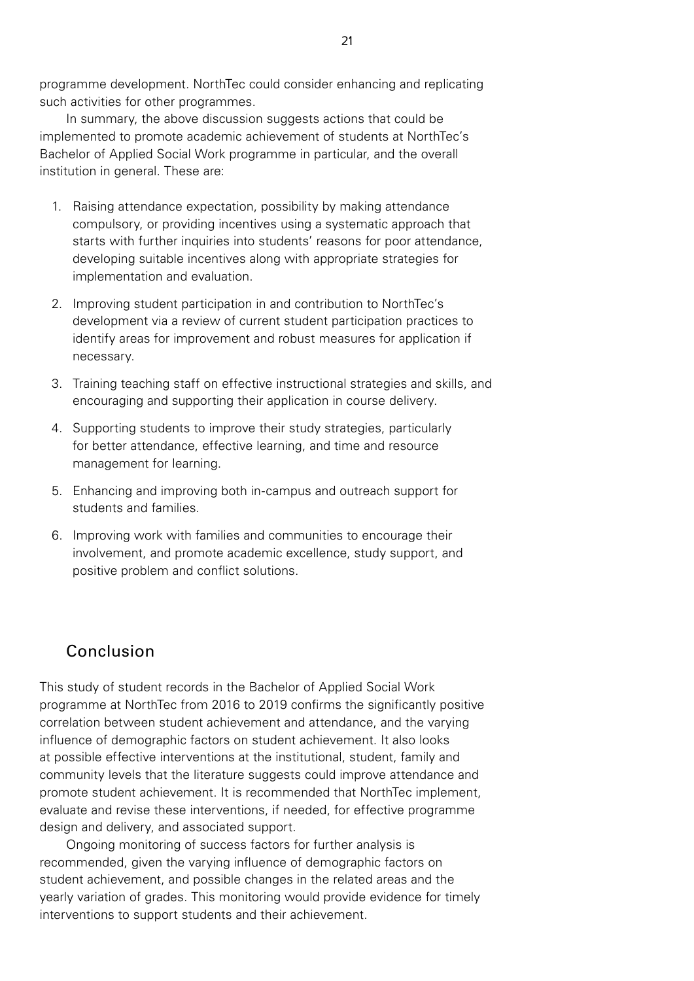programme development. NorthTec could consider enhancing and replicating such activities for other programmes.

In summary, the above discussion suggests actions that could be implemented to promote academic achievement of students at NorthTec's Bachelor of Applied Social Work programme in particular, and the overall institution in general. These are:

- 1. Raising attendance expectation, possibility by making attendance compulsory, or providing incentives using a systematic approach that starts with further inquiries into students' reasons for poor attendance, developing suitable incentives along with appropriate strategies for implementation and evaluation.
- 2. Improving student participation in and contribution to NorthTec's development via a review of current student participation practices to identify areas for improvement and robust measures for application if necessary.
- 3. Training teaching staff on effective instructional strategies and skills, and encouraging and supporting their application in course delivery.
- 4. Supporting students to improve their study strategies, particularly for better attendance, effective learning, and time and resource management for learning.
- 5. Enhancing and improving both in-campus and outreach support for students and families.
- 6. Improving work with families and communities to encourage their involvement, and promote academic excellence, study support, and positive problem and conflict solutions.

# Conclusion

This study of student records in the Bachelor of Applied Social Work programme at NorthTec from 2016 to 2019 confirms the significantly positive correlation between student achievement and attendance, and the varying influence of demographic factors on student achievement. It also looks at possible effective interventions at the institutional, student, family and community levels that the literature suggests could improve attendance and promote student achievement. It is recommended that NorthTec implement, evaluate and revise these interventions, if needed, for effective programme design and delivery, and associated support.

Ongoing monitoring of success factors for further analysis is recommended, given the varying influence of demographic factors on student achievement, and possible changes in the related areas and the yearly variation of grades. This monitoring would provide evidence for timely interventions to support students and their achievement.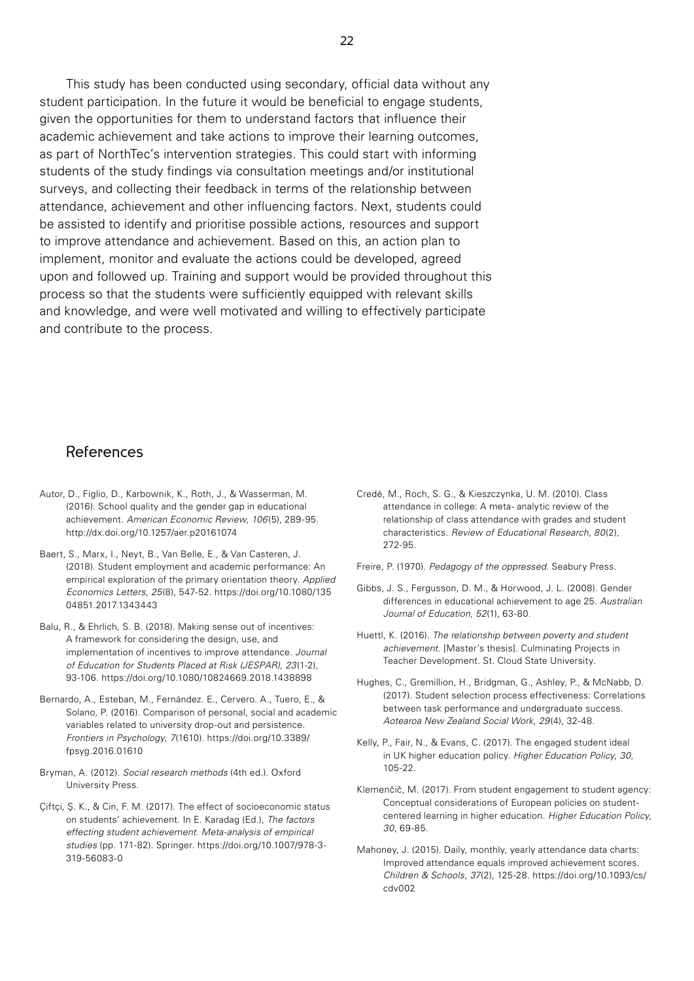This study has been conducted using secondary, official data without any student participation. In the future it would be beneficial to engage students, given the opportunities for them to understand factors that influence their academic achievement and take actions to improve their learning outcomes, as part of NorthTec's intervention strategies. This could start with informing students of the study findings via consultation meetings and/or institutional surveys, and collecting their feedback in terms of the relationship between attendance, achievement and other influencing factors. Next, students could be assisted to identify and prioritise possible actions, resources and support to improve attendance and achievement. Based on this, an action plan to implement, monitor and evaluate the actions could be developed, agreed upon and followed up. Training and support would be provided throughout this process so that the students were sufficiently equipped with relevant skills and knowledge, and were well motivated and willing to effectively participate and contribute to the process.

### **References**

- Autor, D., Figlio, D., Karbownik, K., Roth, J., & Wasserman, M. (2016). School quality and the gender gap in educational achievement. *American Economic Review*, *106*(5), 289-95. http://dx.doi.org/10.1257/aer.p20161074
- Baert, S., Marx, I., Neyt, B., Van Belle, E., & Van Casteren, J. (2018). Student employment and academic performance: An empirical exploration of the primary orientation theory. *Applied Economics Letters*, *25*(8), 547-52. https://doi.org/10.1080/135 04851.2017.1343443
- Balu, R., & Ehrlich, S. B. (2018). Making sense out of incentives: A framework for considering the design, use, and implementation of incentives to improve attendance. *Journal of Education for Students Placed at Risk (JESPAR)*, *23*(1-2), 93-106. https://doi.org/10.1080/10824669.2018.1438898
- Bernardo, A., Esteban, M., Fernández. E., Cervero. A., Tuero, E., & Solano, P. (2016). Comparison of personal, social and academic variables related to university drop-out and persistence. *Frontiers in Psychology*, *7*(1610). https://doi.org/10.3389/ fpsyg.2016.01610
- Bryman, A. (2012). *Social research methods* (4th ed.). Oxford University Press.
- Çiftçi, Ş. K., & Cin, F. M. (2017). The effect of socioeconomic status on students' achievement. In E. Karadag (Ed.), *The factors effecting student achievement. Meta-analysis of empirical studies* (pp. 171-82). Springer. https://doi.org/10.1007/978-3- 319-56083-0
- Credé, M., Roch, S. G., & Kieszczynka, U. M. (2010). Class attendance in college: A meta- analytic review of the relationship of class attendance with grades and student characteristics. *Review of Educational Research*, *80*(2), 272-95.
- Freire, P. (1970). *Pedagogy of the oppressed.* Seabury Press.
- Gibbs, J. S., Fergusson, D. M., & Horwood, J. L. (2008). Gender differences in educational achievement to age 25. *Australian Journal of Education*, *52*(1), 63-80.
- Huettl, K. (2016). *The relationship between poverty and student achievement*. [Master's thesis]. Culminating Projects in Teacher Development. St. Cloud State University.
- Hughes, C., Gremillion, H., Bridgman, G., Ashley, P., & McNabb, D. (2017). Student selection process effectiveness: Correlations between task performance and undergraduate success. *Aotearoa New Zealand Social Work*, *29*(4), 32-48.
- Kelly, P., Fair, N., & Evans, C. (2017). The engaged student ideal in UK higher education policy. *Higher Education Policy*, *30*, 105-22.
- Klemenčič, M. (2017). From student engagement to student agency: Conceptual considerations of European policies on studentcentered learning in higher education. *Higher Education Policy*, *30*, 69-85.
- Mahoney, J. (2015). Daily, monthly, yearly attendance data charts: Improved attendance equals improved achievement scores. *Children & Schools*, *37*(2), 125-28. https://doi.org/10.1093/cs/ cdv002